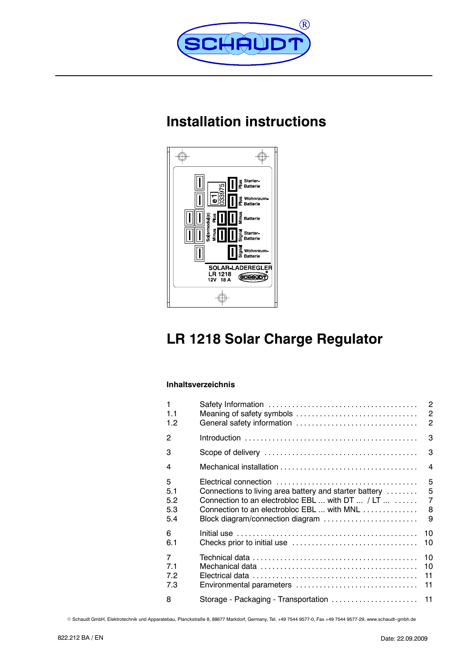

# **Installation instructions**



# **LR 1218 Solar Charge Regulator**

### **Inhaltsverzeichnis**

| 1              |                                                        | $\overline{2}$ |
|----------------|--------------------------------------------------------|----------------|
| 1.1            | Meaning of safety symbols                              | $\overline{c}$ |
| 1.2            | General safety information                             | $\overline{2}$ |
| 2              |                                                        | 3              |
| 3              |                                                        | 3              |
| 4              |                                                        | $\overline{4}$ |
| 5              |                                                        | 5              |
| 5.1            | Connections to living area battery and starter battery | 5              |
| 5.2            | Connection to an electrobloc EBL  with DT  / LT        | $\overline{7}$ |
| 5.3            | Connection to an electrobloc EBL  with MNL             | 8              |
| 5.4            | Block diagram/connection diagram                       | 9              |
| 6              |                                                        | 10             |
| 6.1            |                                                        | 10             |
| $\overline{7}$ |                                                        | 10             |
| 7.1            |                                                        | 10             |
| 7.2            |                                                        | 11             |
| 7.3            | Environmental parameters                               | 11             |
| 8              | Storage - Packaging - Transportation                   | 11             |

© Schaudt GmbH, Elektrotechnik und Apparatebau, Planckstraße 8, 88677 Markdorf, Germany, Tel. +49 7544 9577-0, Fax +49 7544 9577-29, www.schaudt-gmbh.de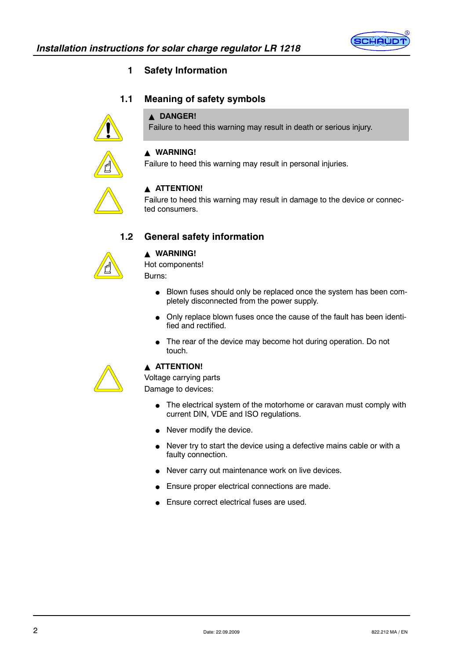

# **1 Safety Information**

# **1.1 Meaning of safety symbols**

#### **A DANGER!**

Failure to heed this warning may result in death or serious injury.



# $\triangle$  WARNING!

Failure to heed this warning may result in personal injuries.



#### **ATTENTION!**

Failure to heed this warning may result in damage to the device or connected consumers.

### **1.2 General safety information**



#### $\triangle$  WARNING!

Hot components! Burns:

- Blown fuses should only be replaced once the system has been completely disconnected from the power supply.
- Only replace blown fuses once the cause of the fault has been identified and rectified.
- The rear of the device may become hot during operation. Do not touch.



#### **A ATTENTION!**

Voltage carrying parts Damage to devices:

- The electrical system of the motorhome or caravan must comply with current DIN, VDE and ISO regulations.
- $\bullet$  Never modify the device.
- Never try to start the device using a defective mains cable or with a faulty connection.
- Never carry out maintenance work on live devices.
- Ensure proper electrical connections are made.
- Ensure correct electrical fuses are used.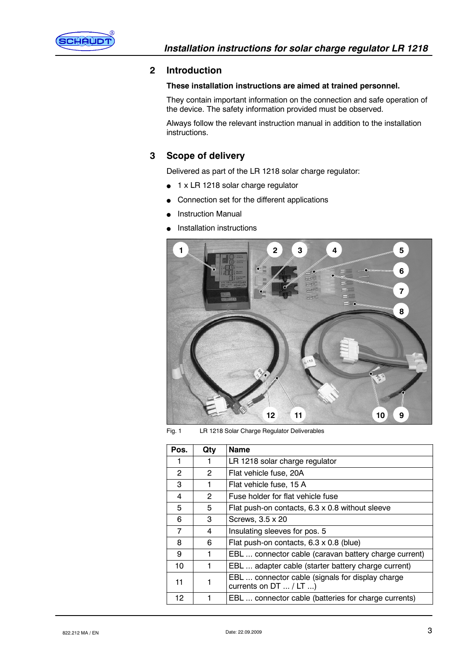

#### **2 Introduction**

#### **These installation instructions are aimed at trained personnel.**

They contain important information on the connection and safe operation of the device. The safety information provided must be observed.

Always follow the relevant instruction manual in addition to the installation instructions.

# **3 Scope of delivery**

Delivered as part of the LR 1218 solar charge regulator:

- $\bullet$  1 x LR 1218 solar charge regulator
- Connection set for the different applications
- **Instruction Manual**
- Installation instructions



Fig. 1 LR 1218 Solar Charge Regulator Deliverables

| Pos. | Qty | <b>Name</b>                                                                   |
|------|-----|-------------------------------------------------------------------------------|
|      | 1   | LR 1218 solar charge regulator                                                |
| 2    | 2   | Flat vehicle fuse, 20A                                                        |
| 3    |     | Flat vehicle fuse, 15 A                                                       |
| 4    | 2   | Fuse holder for flat vehicle fuse                                             |
| 5    | 5   | Flat push-on contacts, 6.3 x 0.8 without sleeve                               |
| 6    | 3   | Screws, 3.5 x 20                                                              |
| 7    | 4   | Insulating sleeves for pos. 5                                                 |
| 8    | 6   | Flat push-on contacts, 6.3 x 0.8 (blue)                                       |
| 9    | 1   | EBL  connector cable (caravan battery charge current)                         |
| 10   |     | EBL  adapter cable (starter battery charge current)                           |
| 11   |     | EBL  connector cable (signals for display charge<br>currents on $DT$ / $LT$ ) |
| 12   |     | EBL  connector cable (batteries for charge currents)                          |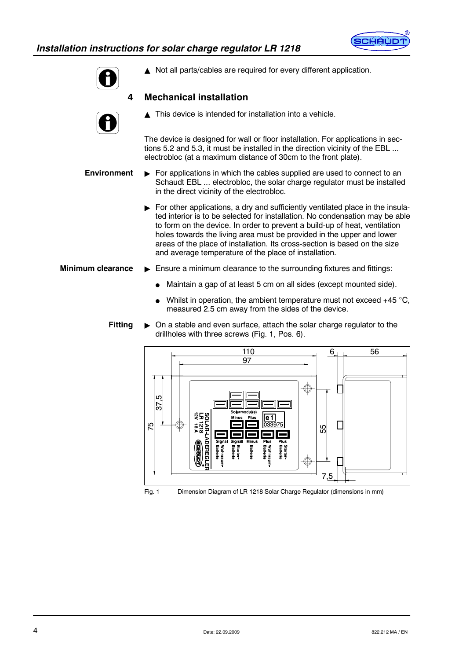



 $\triangle$  Not all parts/cables are required for every different application.

# **4 Mechanical installation**

 $\triangle$  This device is intended for installation into a vehicle.

The device is designed for wall or floor installation. For applications in sections 5.2 and 5.3, it must be installed in the direction vicinity of the EBL ... electrobloc (at a maximum distance of 30cm to the front plate).

- $\blacktriangleright$  For applications in which the cables supplied are used to connect to an Schaudt EBL ... electrobloc, the solar charge regulator must be installed in the direct vicinity of the electrobloc. **Environment**
	- $\triangleright$  For other applications, a dry and sufficiently ventilated place in the insulated interior is to be selected for installation. No condensation may be able to form on the device. In order to prevent a build-up of heat, ventilation holes towards the living area must be provided in the upper and lower areas of the place of installation. Its cross-section is based on the size and average temperature of the place of installation.
- $\blacktriangleright$  Ensure a minimum clearance to the surrounding fixtures and fittings: **Minimum clearance**
	- Maintain a gap of at least 5 cm on all sides (except mounted side).
	- Whilst in operation, the ambient temperature must not exceed  $+45$  °C, measured 2.5 cm away from the sides of the device.

#### " On a stable and even surface, attach the solar charge regulator to the drillholes with three screws (Fig. 1, Pos. 6). **Fitting**



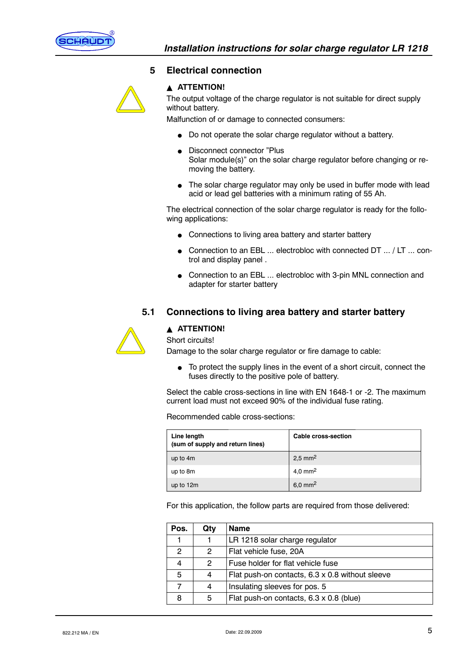

#### **5 Electrical connection**

# **A ATTENTION!**

The output voltage of the charge regulator is not suitable for direct supply without battery.

Malfunction of or damage to connected consumers:

- Do not operate the solar charge regulator without a battery.
- **Disconnect connector "Plus** Solar module(s)" on the solar charge regulator before changing or removing the battery.
- $\bullet$  The solar charge regulator may only be used in buffer mode with lead acid or lead gel batteries with a minimum rating of 55 Ah.

The electrical connection of the solar charge regulator is ready for the following applications:

- Connections to living area battery and starter battery
- $\bullet$  Connection to an EBL ... electrobloc with connected DT ... / LT ... control and display panel .
- Connection to an EBL ... electrobloc with 3-pin MNL connection and adapter for starter battery

# **5.1 Connections to living area battery and starter battery**



#### **A ATTENTION!**

Short circuits!

Damage to the solar charge regulator or fire damage to cable:

 $\bullet$  To protect the supply lines in the event of a short circuit, connect the fuses directly to the positive pole of battery.

Select the cable cross-sections in line with EN 1648-1 or -2. The maximum current load must not exceed 90% of the individual fuse rating.

Recommended cable cross-sections:

| Line length<br>(sum of supply and return lines) | <b>Cable cross-section</b> |
|-------------------------------------------------|----------------------------|
| up to 4m                                        | $2.5$ mm <sup>2</sup>      |
| up to 8m                                        | 4,0 mm <sup>2</sup>        |
| up to 12m                                       | $6.0 \text{ mm}^2$         |

For this application, the follow parts are required from those delivered:

| Pos. | Qty | <b>Name</b>                                            |  |  |
|------|-----|--------------------------------------------------------|--|--|
|      |     | LR 1218 solar charge regulator                         |  |  |
| 2    | 2   | Flat vehicle fuse, 20A                                 |  |  |
|      | 2   | Fuse holder for flat vehicle fuse                      |  |  |
| 5    | 4   | Flat push-on contacts, $6.3 \times 0.8$ without sleeve |  |  |
|      | 4   | Insulating sleeves for pos. 5                          |  |  |
| 8    | 5   | Flat push-on contacts, 6.3 x 0.8 (blue)                |  |  |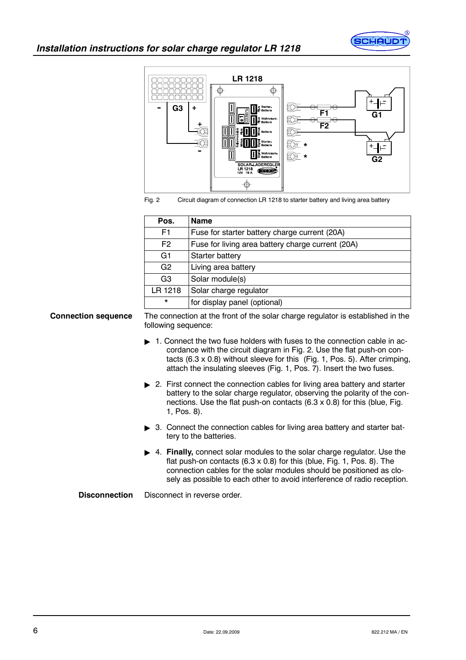



Fig. 2 Circuit diagram of connection LR 1218 to starter battery and living area battery

| Pos.           | <b>Name</b>                                       |
|----------------|---------------------------------------------------|
| F <sub>1</sub> | Fuse for starter battery charge current (20A)     |
| F <sub>2</sub> | Fuse for living area battery charge current (20A) |
| G <sub>1</sub> | Starter battery                                   |
| G <sub>2</sub> | Living area battery                               |
| G <sub>3</sub> | Solar module(s)                                   |
| LR 1218        | Solar charge regulator                            |
| $^\star$       | for display panel (optional)                      |

**Connection sequence**

The connection at the front of the solar charge regulator is established in the following sequence:

- $\blacktriangleright$  1. Connect the two fuse holders with fuses to the connection cable in accordance with the circuit diagram in Fig. 2. Use the flat push-on contacts  $(6.3 \times 0.8)$  without sleeve for this  $(Fig. 1, Pos. 5)$ . After crimping, attach the insulating sleeves (Fig. 1, Pos. 7). Insert the two fuses.
- ► 2. First connect the connection cables for living area battery and starter battery to the solar charge regulator, observing the polarity of the connections. Use the flat push-on contacts  $(6.3 \times 0.8)$  for this (blue, Fig. 1, Pos. 8).
- $\triangleright$  3. Connect the connection cables for living area battery and starter battery to the batteries.
- ▶ 4. **Finally,** connect solar modules to the solar charge regulator. Use the flat push-on contacts  $(6.3 \times 0.8)$  for this (blue, Fig. 1, Pos. 8). The connection cables for the solar modules should be positioned as closely as possible to each other to avoid interference of radio reception.

Disconnect in reverse order. **Disconnection**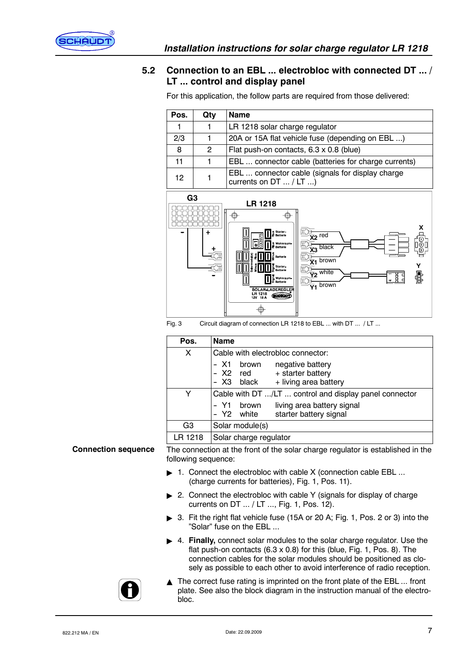

# **5.2 Connection to an EBL ... electrobloc with connected DT ... / LT ... control and display panel**

| Pos. | Qty          | <b>Name</b>                                                                   |  |  |
|------|--------------|-------------------------------------------------------------------------------|--|--|
|      | 1            | LR 1218 solar charge regulator                                                |  |  |
| 2/3  |              | 20A or 15A flat vehicle fuse (depending on EBL )                              |  |  |
| 8    | $\mathbf{2}$ | Flat push-on contacts, 6.3 x 0.8 (blue)                                       |  |  |
| 11   |              | EBL  connector cable (batteries for charge currents)                          |  |  |
| 12   |              | EBL  connector cable (signals for display charge<br>currents on $DT$ / $LT$ ) |  |  |

For this application, the follow parts are required from those delivered:



Fig. 3 Circuit diagram of connection LR 1218 to EBL ... with DT ... / LT ...

| Pos.           | <b>Name</b>                                                                                         |  |  |
|----------------|-----------------------------------------------------------------------------------------------------|--|--|
| X              | Cable with electrobloc connector:                                                                   |  |  |
|                | - X1<br>negative battery<br>brown<br>- X2 red + starter battery<br>- X3 black + living area battery |  |  |
|                | Cable with DT /LT  control and display panel connector                                              |  |  |
|                | living area battery signal<br>Y1<br>brown<br>- Y2 white<br>starter battery signal                   |  |  |
| G <sub>3</sub> | Solar module(s)                                                                                     |  |  |
| 1218           | Solar charge regulator                                                                              |  |  |

#### **Connection sequence**

The connection at the front of the solar charge regulator is established in the following sequence:

- 1. Connect the electrobloc with cable X (connection cable EBL ... (charge currents for batteries), Fig. 1, Pos. 11).
- $\triangleright$  2. Connect the electrobloc with cable Y (signals for display of charge currents on DT ... / LT ..., Fig. 1, Pos. 12).
- 3. Fit the right flat vehicle fuse (15A or 20 A; Fig. 1, Pos. 2 or 3) into the "Solar" fuse on the EBL ...
- ▶ 4. **Finally,** connect solar modules to the solar charge regulator. Use the flat push-on contacts  $(6.3 \times 0.8)$  for this (blue, Fig. 1, Pos. 8). The connection cables for the solar modules should be positioned as closely as possible to each other to avoid interference of radio reception.
- $\triangle$  The correct fuse rating is imprinted on the front plate of the EBL ... front plate. See also the block diagram in the instruction manual of the electrobloc.

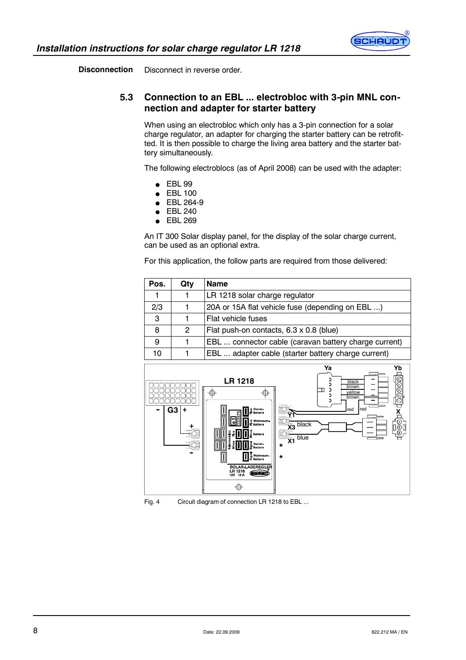

Disconnect in reverse order. **Disconnection**

# **5.3 Connection to an EBL ... electrobloc with 3-pin MNL connection and adapter for starter battery**

When using an electrobloc which only has a 3-pin connection for a solar charge regulator, an adapter for charging the starter battery can be retrofitted. It is then possible to charge the living area battery and the starter battery simultaneously.

The following electroblocs (as of April 2008) can be used with the adapter:

- $\bullet$  EBL 99
- **EBL 100**
- $\bullet$  EBL 264-9
- $\bullet$  FBL 240
- $\bullet$  EBL 269

An IT 300 Solar display panel, for the display of the solar charge current, can be used as an optional extra.

For this application, the follow parts are required from those delivered:

| Pos. | Qty | <b>Name</b>                                           |
|------|-----|-------------------------------------------------------|
|      |     | LR 1218 solar charge regulator                        |
| 2/3  |     | 20A or 15A flat vehicle fuse (depending on EBL )      |
| 3    |     | Flat vehicle fuses                                    |
| 8    | 2   | Flat push-on contacts, 6.3 x 0.8 (blue)               |
| 9    |     | EBL  connector cable (caravan battery charge current) |
| 10   |     | EBL  adapter cable (starter battery charge current)   |



Fig. 4 Circuit diagram of connection LR 1218 to EBL ...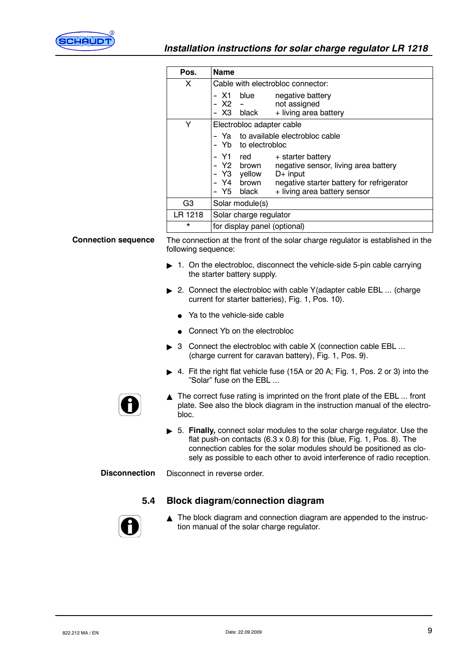

|                            | Pos.                | <b>Name</b>                                                                                                                                                                                                                                                                                         |  |
|----------------------------|---------------------|-----------------------------------------------------------------------------------------------------------------------------------------------------------------------------------------------------------------------------------------------------------------------------------------------------|--|
|                            | X                   | Cable with electrobloc connector:                                                                                                                                                                                                                                                                   |  |
|                            |                     | – X1<br>blue<br>negative battery<br>not assigned<br>$X2 -$<br>$\overline{\phantom{a}}$<br>- X3 black<br>+ living area battery                                                                                                                                                                       |  |
|                            | Y                   | Electrobloc adapter cable                                                                                                                                                                                                                                                                           |  |
|                            |                     | Ya to available electrobloc cable<br>$\overline{\phantom{a}}$<br>Yb to electrobloc<br>$\overline{\phantom{0}}$                                                                                                                                                                                      |  |
|                            |                     | Y1<br>red<br>+ starter battery<br>$\ddot{\phantom{a}}$<br>Y2 brown<br>negative sensor, living area battery<br>$\ddot{\phantom{1}}$<br>Y3 yellow<br>$D+$ input<br>$\overline{\phantom{0}}$<br>Y4 brown<br>negative starter battery for refrigerator<br>Y5 I<br>black<br>+ living area battery sensor |  |
|                            | G <sub>3</sub>      | Solar module(s)                                                                                                                                                                                                                                                                                     |  |
|                            | LR 1218             | Solar charge regulator                                                                                                                                                                                                                                                                              |  |
|                            | $^\star$            | for display panel (optional)                                                                                                                                                                                                                                                                        |  |
| <b>Connection sequence</b> | following sequence: | The connection at the front of the solar charge regulator is established in the                                                                                                                                                                                                                     |  |
|                            |                     | 1. On the electrobloc, disconnect the vehicle-side 5-pin cable carrying<br>the starter battery supply.                                                                                                                                                                                              |  |

- ► 2. Connect the electrobloc with cable Y(adapter cable EBL ... (charge current for starter batteries), Fig. 1, Pos. 10).
	- $\bullet$  Ya to the vehicle-side cable
	- Connect Yb on the electrobloc
- $\triangleright$  3 Connect the electrobloc with cable X (connection cable EBL ... (charge current for caravan battery), Fig. 1, Pos. 9).
- ▶ 4. Fit the right flat vehicle fuse (15A or 20 A; Fig. 1, Pos. 2 or 3) into the "Solar" fuse on the EBL ...



- $\triangle$  The correct fuse rating is imprinted on the front plate of the EBL ... front plate. See also the block diagram in the instruction manual of the electrobloc.
- $\triangleright$  5. Finally, connect solar modules to the solar charge regulator. Use the flat push-on contacts  $(6.3 \times 0.8)$  for this (blue, Fig. 1, Pos. 8). The connection cables for the solar modules should be positioned as closely as possible to each other to avoid interference of radio reception.

Disconnect in reverse order. **Disconnection**

# **5.4 Block diagram/connection diagram**



 $\blacktriangle$  The block diagram and connection diagram are appended to the instruction manual of the solar charge regulator.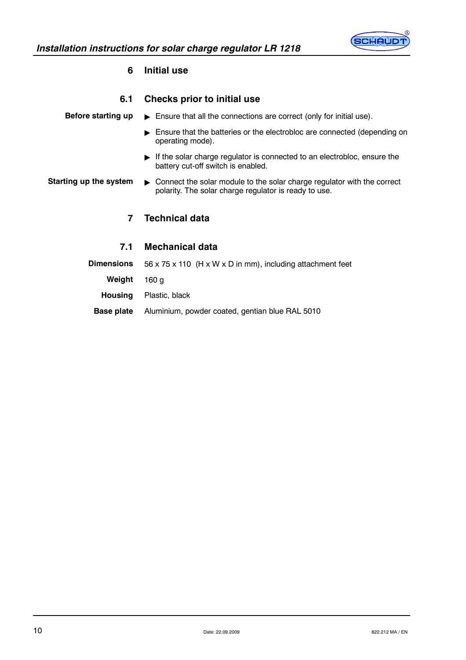

# **6 Initial use**

| 6.1                    | <b>Checks prior to initial use</b>                                                                                                   |
|------------------------|--------------------------------------------------------------------------------------------------------------------------------------|
| Before starting up     | $\triangleright$ Ensure that all the connections are correct (only for initial use).                                                 |
|                        | $\blacktriangleright$ Ensure that the batteries or the electrobloc are connected (depending on<br>operating mode).                   |
|                        | $\blacktriangleright$ If the solar charge regulator is connected to an electrobloc, ensure the<br>battery cut-off switch is enabled. |
| Starting up the system | • Connect the solar module to the solar charge regulator with the correct<br>polarity. The solar charge regulator is ready to use.   |
| 7                      | <b>Technical data</b>                                                                                                                |
| 7.1                    | <b>Mechanical data</b>                                                                                                               |
| <b>Dimensions</b>      | 56 x 75 x 110 (H x W x D in mm), including attachment feet                                                                           |
| Weight                 | 160 <sub>g</sub>                                                                                                                     |
| <b>Housing</b>         | Plastic, black                                                                                                                       |
| <b>Base plate</b>      | Aluminium, powder coated, gentian blue RAL 5010                                                                                      |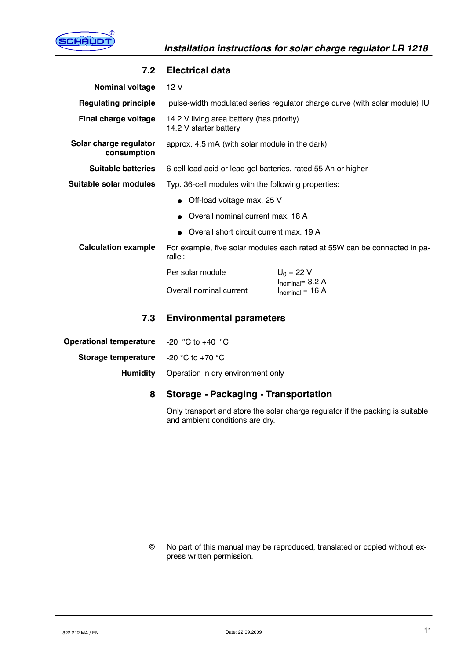

| <b>Nominal voltage</b>                | 12V                                                                                                            |                                               |  |
|---------------------------------------|----------------------------------------------------------------------------------------------------------------|-----------------------------------------------|--|
| <b>Regulating principle</b>           | pulse-width modulated series regulator charge curve (with solar module) IU                                     |                                               |  |
| Final charge voltage                  | 14.2 V living area battery (has priority)<br>14.2 V starter battery                                            |                                               |  |
| Solar charge regulator<br>consumption | approx. 4.5 mA (with solar module in the dark)                                                                 |                                               |  |
| <b>Suitable batteries</b>             | 6-cell lead acid or lead gel batteries, rated 55 Ah or higher                                                  |                                               |  |
| Suitable solar modules                | Typ. 36-cell modules with the following properties:                                                            |                                               |  |
|                                       | • Off-load voltage max. 25 V<br>• Overall nominal current max. 18 A<br>Overall short circuit current max. 19 A |                                               |  |
|                                       |                                                                                                                |                                               |  |
|                                       |                                                                                                                |                                               |  |
| <b>Calculation example</b>            | For example, five solar modules each rated at 55W can be connected in pa-<br>rallel:                           |                                               |  |
|                                       | Per solar module                                                                                               | $U_0 = 22 V$                                  |  |
|                                       | Overall nominal current                                                                                        | $I_{nominal} = 3.2 A$<br>$I_{nominal} = 16 A$ |  |
| 7.3                                   | <b>Environmental parameters</b>                                                                                |                                               |  |
| <b>Operational temperature</b>        | -20 $^{\circ}$ C to +40 $^{\circ}$ C                                                                           |                                               |  |
| Storage temperature                   | $-20$ °C to $+70$ °C                                                                                           |                                               |  |
| <b>Humidity</b>                       | Operation in dry environment only                                                                              |                                               |  |

#### **7.2 Electrical data**

# **8 Storage - Packaging - Transportation**

Only transport and store the solar charge regulator if the packing is suitable and ambient conditions are dry.

No part of this manual may be reproduced, translated or copied without express written permission.  $_{\odot}$